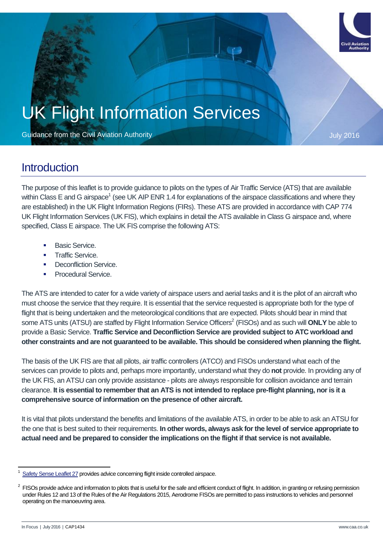

# UK Flight Information Services

Guidance from the Civil Aviation Authority **Contract Contract Contract Contract Contract Contract Contract Contract Contract Contract Contract Contract Contract Contract Contract Contract Contract Contract Contract Contrac** 

### **Introduction**

The purpose of this leaflet is to provide guidance to pilots on the types of Air Traffic Service (ATS) that are available within Class E and G airspace<sup>1</sup> (see UK AIP ENR 1.4 for explanations of the airspace classifications and where they are established) in the UK Flight Information Regions (FIRs). These ATS are provided in accordance with CAP 774 UK Flight Information Services (UK FIS), which explains in detail the ATS available in Class G airspace and, where specified, Class E airspace. The UK FIS comprise the following ATS:

- Basic Service.
- Traffic Service.
- Deconfliction Service.
- Procedural Service.

The ATS are intended to cater for a wide variety of airspace users and aerial tasks and it is the pilot of an aircraft who must choose the service that they require. It is essential that the service requested is appropriate both for the type of flight that is being undertaken and the meteorological conditions that are expected. Pilots should bear in mind that some ATS units (ATSU) are staffed by Flight Information Service Officers<sup>2</sup> (FISOs) and as such will **ONLY** be able to provide a Basic Service. **Traffic Service and Deconfliction Service are provided subject to ATC workload and other constraints and are not guaranteed to be available. This should be considered when planning the flight.**

The basis of the UK FIS are that all pilots, air traffic controllers (ATCO) and FISOs understand what each of the services can provide to pilots and, perhaps more importantly, understand what they do **not** provide. In providing any of the UK FIS, an ATSU can only provide assistance - pilots are always responsible for collision avoidance and terrain clearance. **It is essential to remember that an ATS is not intended to replace pre-flight planning, nor is it a comprehensive source of information on the presence of other aircraft.**

It is vital that pilots understand the benefits and limitations of the available ATS, in order to be able to ask an ATSU for the one that is best suited to their requirements. **In other words, always ask for the level of service appropriate to actual need and be prepared to consider the implications on the flight if that service is not available.**

 $\overline{a}$ 

<sup>1</sup> [Safety Sense Leaflet 27](http://publicapps.caa.co.uk/docs/33/20130121SSL27.pdf) provides advice concerning flight inside controlled airspace.

<sup>2</sup> FISOs provide advice and information to pilots that is useful for the safe and efficient conduct of flight. In addition, in granting or refusing permission under Rules 12 and 13 of the Rules of the Air Regulations 2015, Aerodrome FISOs are permitted to pass instructions to vehicles and personnel operating on the manoeuvring area.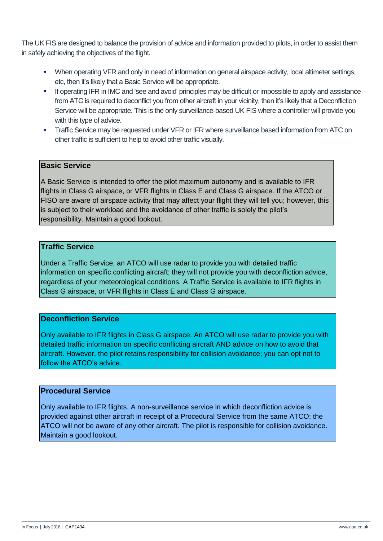The UK FIS are designed to balance the provision of advice and information provided to pilots, in order to assist them in safely achieving the objectives of the flight.

- When operating VFR and only in need of information on general airspace activity, local altimeter settings, etc, then it's likely that a Basic Service will be appropriate.
- If operating IFR in IMC and 'see and avoid' principles may be difficult or impossible to apply and assistance from ATC is required to deconflict you from other aircraft in your vicinity, then it's likely that a Deconfliction Service will be appropriate. This is the only surveillance-based UK FIS where a controller will provide you with this type of advice.
- **Traffic Service may be requested under VFR or IFR where surveillance based information from ATC on** other traffic is sufficient to help to avoid other traffic visually.

### **Basic Service**

A Basic Service is intended to offer the pilot maximum autonomy and is available to IFR flights in Class G airspace, or VFR flights in Class E and Class G airspace. If the ATCO or FISO are aware of airspace activity that may affect your flight they will tell you; however, this is subject to their workload and the avoidance of other traffic is solely the pilot's responsibility. Maintain a good lookout.

### **Traffic Service**

Under a Traffic Service, an ATCO will use radar to provide you with detailed traffic information on specific conflicting aircraft; they will not provide you with deconfliction advice, regardless of your meteorological conditions. A Traffic Service is available to IFR flights in Class G airspace, or VFR flights in Class E and Class G airspace.

### **Deconfliction Service**

Only available to IFR flights in Class G airspace. An ATCO will use radar to provide you with detailed traffic information on specific conflicting aircraft AND advice on how to avoid that aircraft. However, the pilot retains responsibility for collision avoidance; you can opt not to follow the ATCO's advice.

### **Procedural Service**

Only available to IFR flights. A non-surveillance service in which deconfliction advice is provided against other aircraft in receipt of a Procedural Service from the same ATCO; the ATCO will not be aware of any other aircraft. The pilot is responsible for collision avoidance. Maintain a good lookout.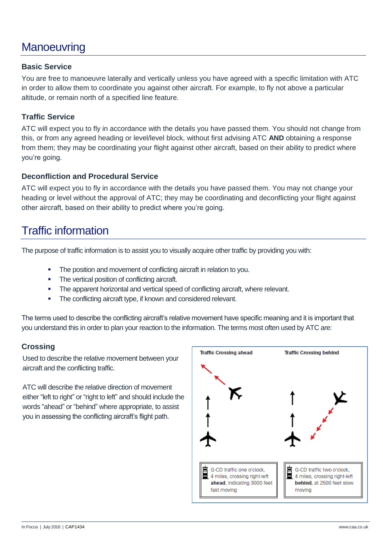# **Manoeuvring**

### **Basic Service**

You are free to manoeuvre laterally and vertically unless you have agreed with a specific limitation with ATC in order to allow them to coordinate you against other aircraft. For example, to fly not above a particular altitude, or remain north of a specified line feature.

### **Traffic Service**

ATC will expect you to fly in accordance with the details you have passed them. You should not change from this, or from any agreed heading or level/level block, without first advising ATC **AND** obtaining a response from them; they may be coordinating your flight against other aircraft, based on their ability to predict where you're going.

### **Deconfliction and Procedural Service**

ATC will expect you to fly in accordance with the details you have passed them. You may not change your heading or level without the approval of ATC; they may be coordinating and deconflicting your flight against other aircraft, based on their ability to predict where you're going.

### Traffic information

The purpose of traffic information is to assist you to visually acquire other traffic by providing you with:

- The position and movement of conflicting aircraft in relation to you.
- The vertical position of conflicting aircraft.
- The apparent horizontal and vertical speed of conflicting aircraft, where relevant.
- The conflicting aircraft type, if known and considered relevant.

The terms used to describe the conflicting aircraft's relative movement have specific meaning and it is important that you understand this in order to plan your reaction to the information. The terms most often used by ATC are:

### **Crossing**

Used to describe the relative movement between your aircraft and the conflicting traffic.

ATC will describe the relative direction of movement either "left to right" or "right to left" and should include the words "ahead" or "behind" where appropriate, to assist you in assessing the conflicting aircraft's flight path.

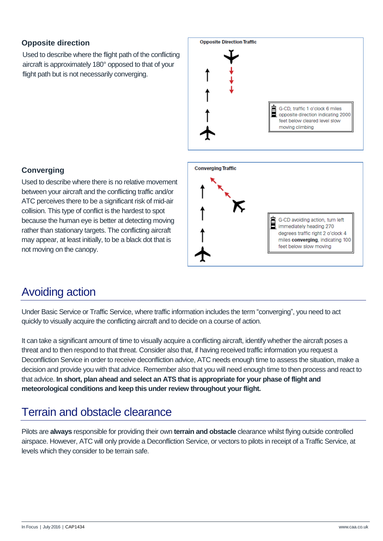### **Opposite direction**

Used to describe where the flight path of the conflicting aircraft is approximately 180° opposed to that of your flight path but is not necessarily converging.



### **Converging**

Used to describe where there is no relative movement between your aircraft and the conflicting traffic and/or ATC perceives there to be a significant risk of mid-air collision. This type of conflict is the hardest to spot because the human eye is better at detecting moving rather than stationary targets. The conflicting aircraft may appear, at least initially, to be a black dot that is not moving on the canopy.



# Avoiding action

Under Basic Service or Traffic Service, where traffic information includes the term "converging", you need to act quickly to visually acquire the conflicting aircraft and to decide on a course of action.

It can take a significant amount of time to visually acquire a conflicting aircraft, identify whether the aircraft poses a threat and to then respond to that threat. Consider also that, if having received traffic information you request a Deconfliction Service in order to receive deconfliction advice, ATC needs enough time to assess the situation, make a decision and provide you with that advice. Remember also that you will need enough time to then process and react to that advice. **In short, plan ahead and select an ATS that is appropriate for your phase of flight and meteorological conditions and keep this under review throughout your flight.**

### Terrain and obstacle clearance

Pilots are **always** responsible for providing their own **terrain and obstacle** clearance whilst flying outside controlled airspace. However, ATC will only provide a Deconfliction Service, or vectors to pilots in receipt of a Traffic Service, at levels which they consider to be terrain safe.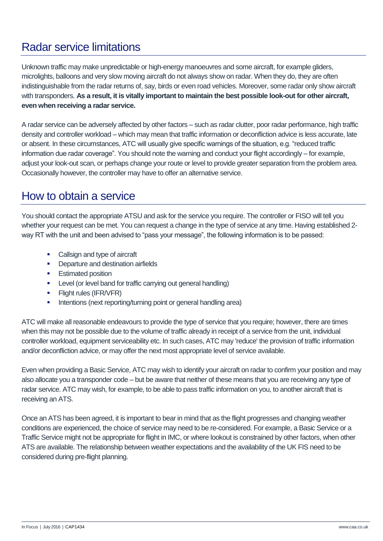# Radar service limitations

Unknown traffic may make unpredictable or high-energy manoeuvres and some aircraft, for example gliders, microlights, balloons and very slow moving aircraft do not always show on radar. When they do, they are often indistinguishable from the radar returns of, say, birds or even road vehicles. Moreover, some radar only show aircraft with transponders. **As a result, it is vitally important to maintain the best possible look-out for other aircraft, even when receiving a radar service.**

A radar service can be adversely affected by other factors – such as radar clutter, poor radar performance, high traffic density and controller workload – which may mean that traffic information or deconfliction advice is less accurate, late or absent. In these circumstances, ATC will usually give specific warnings of the situation, e.g. "reduced traffic information due radar coverage". You should note the warning and conduct your flight accordingly – for example, adjust your look-out scan, or perhaps change your route or level to provide greater separation from the problem area. Occasionally however, the controller may have to offer an alternative service.

### How to obtain a service

You should contact the appropriate ATSU and ask for the service you require. The controller or FISO will tell you whether your request can be met. You can request a change in the type of service at any time. Having established 2 way RT with the unit and been advised to "pass your message", the following information is to be passed:

- Callsign and type of aircraft
- **•** Departure and destination airfields
- **Estimated position**
- **Level (or level band for traffic carrying out general handling)**
- **Flight rules (IFR/VFR)**
- **Intentions (next reporting/turning point or general handling area)**

ATC will make all reasonable endeavours to provide the type of service that you require; however, there are times when this may not be possible due to the volume of traffic already in receipt of a service from the unit, individual controller workload, equipment serviceability etc. In such cases, ATC may 'reduce' the provision of traffic information and/or deconfliction advice, or may offer the next most appropriate level of service available.

Even when providing a Basic Service, ATC may wish to identify your aircraft on radar to confirm your position and may also allocate you a transponder code – but be aware that neither of these means that you are receiving any type of radar service. ATC may wish, for example, to be able to pass traffic information on you, to another aircraft that is receiving an ATS.

Once an ATS has been agreed, it is important to bear in mind that as the flight progresses and changing weather conditions are experienced, the choice of service may need to be re-considered. For example, a Basic Service or a Traffic Service might not be appropriate for flight in IMC, or where lookout is constrained by other factors, when other ATS are available. The relationship between weather expectations and the availability of the UK FIS need to be considered during pre-flight planning.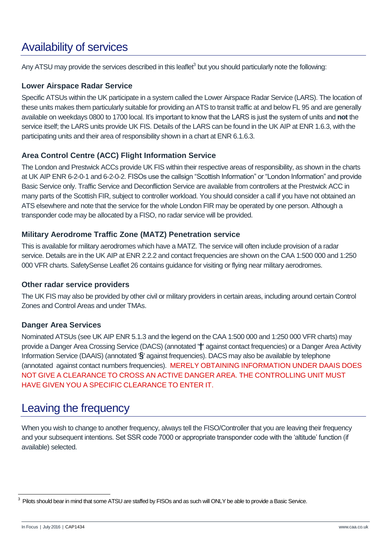# Availability of services

Any ATSU may provide the services described in this leaflet<sup>3</sup> but you should particularly note the following:

### **Lower Airspace Radar Service**

Specific ATSUs within the UK participate in a system called the Lower Airspace Radar Service (LARS). The location of these units makes them particularly suitable for providing an ATS to transit traffic at and below FL 95 and are generally available on weekdays 0800 to 1700 local. It's important to know that the LARS is just the system of units and **not** the service itself; the LARS units provide UK FIS. Details of the LARS can be found in the UK AIP at ENR 1.6.3, with the participating units and their area of responsibility shown in a chart at ENR 6.1.6.3.

### **Area Control Centre (ACC) Flight Information Service**

The London and Prestwick ACCs provide UK FIS within their respective areas of responsibility, as shown in the charts at UK AIP ENR 6-2-0-1 and 6-2-0-2. FISOs use the callsign "Scottish Information" or "London Information" and provide Basic Service only. Traffic Service and Deconfliction Service are available from controllers at the Prestwick ACC in many parts of the Scottish FIR, subject to controller workload. You should consider a call if you have not obtained an ATS elsewhere and note that the service for the whole London FIR may be operated by one person. Although a transponder code may be allocated by a FISO, no radar service will be provided.

### **Military Aerodrome Traffic Zone (MATZ) Penetration service**

This is available for military aerodromes which have a MATZ. The service will often include provision of a radar service. Details are in the UK AIP at ENR 2.2.2 and contact frequencies are shown on the CAA 1:500 000 and 1:250 000 VFR charts. SafetySense Leaflet 26 contains guidance for visiting or flying near military aerodromes.

### **Other radar service providers**

The UK FIS may also be provided by other civil or military providers in certain areas, including around certain Control Zones and Control Areas and under TMAs.

### **Danger Area Services**

Nominated ATSUs (see UK AIP ENR 5.1.3 and the legend on the CAA 1:500 000 and 1:250 000 VFR charts) may provide a Danger Area Crossing Service (DACS) (annotated '**†**' against contact frequencies) or a Danger Area Activity Information Service (DAAIS) (annotated '**§**' against frequencies). DACS may also be available by telephone (annotated against contact numbers frequencies). MERELY OBTAINING INFORMATION UNDER DAAIS DOES NOT GIVE A CLEARANCE TO CROSS AN ACTIVE DANGER AREA. THE CONTROLLING UNIT MUST HAVE GIVEN YOU A SPECIFIC CLEARANCE TO ENTER IT.

# Leaving the frequency

When you wish to change to another frequency, always tell the FISO/Controller that you are leaving their frequency and your subsequent intentions. Set SSR code 7000 or appropriate transponder code with the 'altitude' function (if available) selected.

 3 Pilots should bear in mind that some ATSU are staffed by FISOs and as such will ONLY be able to provide a Basic Service.